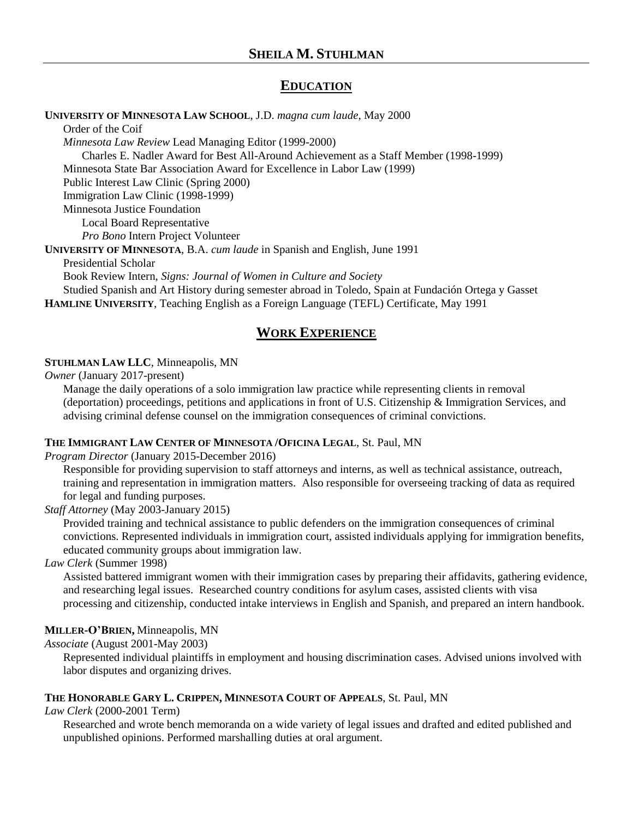# **EDUCATION**

**UNIVERSITY OF MINNESOTA LAW SCHOOL**, J.D. *magna cum laude*, May 2000

Order of the Coif *Minnesota Law Review* Lead Managing Editor (1999-2000) Charles E. Nadler Award for Best All-Around Achievement as a Staff Member (1998-1999) Minnesota State Bar Association Award for Excellence in Labor Law (1999) Public Interest Law Clinic (Spring 2000) Immigration Law Clinic (1998-1999) Minnesota Justice Foundation Local Board Representative *Pro Bono* Intern Project Volunteer **UNIVERSITY OF MINNESOTA**, B.A. *cum laude* in Spanish and English, June 1991

Presidential Scholar Book Review Intern, *Signs: Journal of Women in Culture and Society* Studied Spanish and Art History during semester abroad in Toledo, Spain at Fundación Ortega y Gasset **HAMLINE UNIVERSITY**, Teaching English as a Foreign Language (TEFL) Certificate, May 1991

# **WORK EXPERIENCE**

#### **STUHLMAN LAW LLC**, Minneapolis, MN

*Owner* (January 2017-present)

Manage the daily operations of a solo immigration law practice while representing clients in removal (deportation) proceedings, petitions and applications in front of U.S. Citizenship & Immigration Services, and advising criminal defense counsel on the immigration consequences of criminal convictions.

## **THE IMMIGRANT LAW CENTER OF MINNESOTA /OFICINA LEGAL**, St. Paul, MN

*Program Director* (January 2015-December 2016)

Responsible for providing supervision to staff attorneys and interns, as well as technical assistance, outreach, training and representation in immigration matters. Also responsible for overseeing tracking of data as required for legal and funding purposes.

#### *Staff Attorney* (May 2003-January 2015)

Provided training and technical assistance to public defenders on the immigration consequences of criminal convictions. Represented individuals in immigration court, assisted individuals applying for immigration benefits, educated community groups about immigration law.

## *Law Clerk* (Summer 1998)

Assisted battered immigrant women with their immigration cases by preparing their affidavits, gathering evidence, and researching legal issues. Researched country conditions for asylum cases, assisted clients with visa processing and citizenship, conducted intake interviews in English and Spanish, and prepared an intern handbook.

## **MILLER-O'BRIEN,** Minneapolis, MN

#### *Associate* (August 2001-May 2003)

Represented individual plaintiffs in employment and housing discrimination cases. Advised unions involved with labor disputes and organizing drives.

#### **THE HONORABLE GARY L. CRIPPEN, MINNESOTA COURT OF APPEALS**, St. Paul, MN

*Law Clerk* (2000-2001 Term)

Researched and wrote bench memoranda on a wide variety of legal issues and drafted and edited published and unpublished opinions. Performed marshalling duties at oral argument.